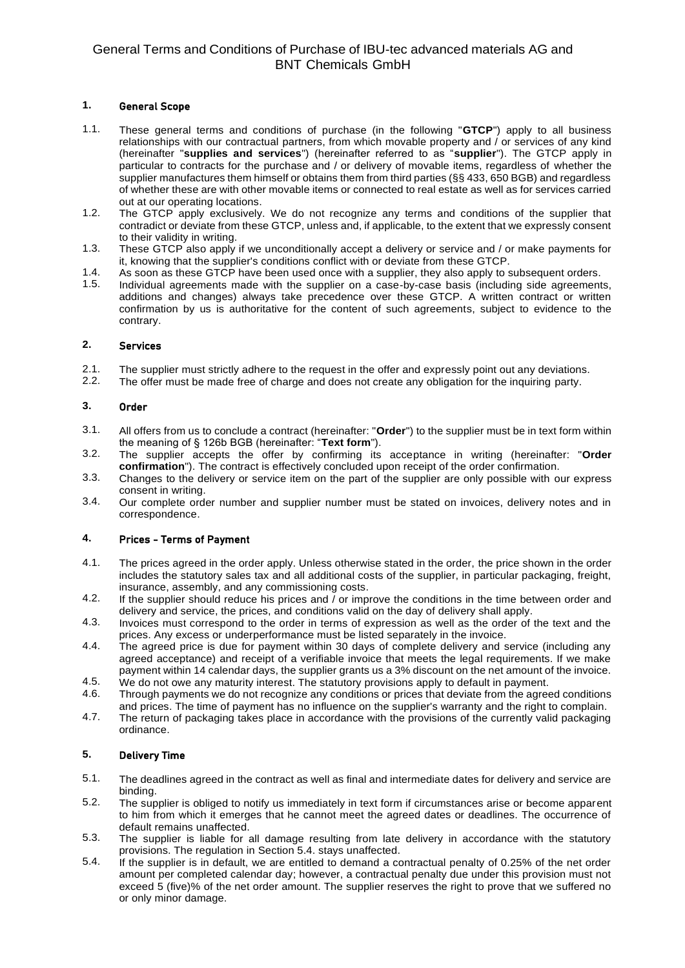# General Terms and Conditions of Purchase of IBU-tec advanced materials AG and BNT Chemicals GmbH

### **1.** General Scope

- 1.1. These general terms and conditions of purchase (in the following "**GTCP**") apply to all business relationships with our contractual partners, from which movable property and / or services of any kind (hereinafter "**supplies and services**") (hereinafter referred to as "**supplier**"). The GTCP apply in particular to contracts for the purchase and / or delivery of movable items, regardless of whether the supplier manufactures them himself or obtains them from third parties (§§ 433, 650 BGB) and regardless of whether these are with other movable items or connected to real estate as well as for services carried out at our operating locations.
- 1.2. The GTCP apply exclusively. We do not recognize any terms and conditions of the supplier that contradict or deviate from these GTCP, unless and, if applicable, to the extent that we expressly consent to their validity in writing.
- 1.3. These GTCP also apply if we unconditionally accept a delivery or service and / or make payments for it, knowing that the supplier's conditions conflict with or deviate from these GTCP.
- 1.4. As soon as these GTCP have been used once with a supplier, they also apply to subsequent orders.
- 1.5. Individual agreements made with the supplier on a case-by-case basis (including side agreements, additions and changes) always take precedence over these GTCP. A written contract or written confirmation by us is authoritative for the content of such agreements, subject to evidence to the contrary.

#### **2.** Services

- 2.1. The supplier must strictly adhere to the request in the offer and expressly point out any deviations.
- 2.2. The offer must be made free of charge and does not create any obligation for the inquiring party.

#### **3.** Order

- 3.1. All offers from us to conclude a contract (hereinafter: "**Order**") to the supplier must be in text form within the meaning of § 126b BGB (hereinafter: "**Text form**").
- 3.2. The supplier accepts the offer by confirming its acceptance in writing (hereinafter: "**Order confirmation**"). The contract is effectively concluded upon receipt of the order confirmation.
- 3.3. Changes to the delivery or service item on the part of the supplier are only possible with our express consent in writing.
- 3.4. Our complete order number and supplier number must be stated on invoices, delivery notes and in correspondence.

#### **4.** Prices - Terms of Payment

- 4.1. The prices agreed in the order apply. Unless otherwise stated in the order, the price shown in the order includes the statutory sales tax and all additional costs of the supplier, in particular packaging, freight, insurance, assembly, and any commissioning costs.
- 4.2. If the supplier should reduce his prices and / or improve the conditions in the time between order and delivery and service, the prices, and conditions valid on the day of delivery shall apply.
- 4.3. Invoices must correspond to the order in terms of expression as well as the order of the text and the prices. Any excess or underperformance must be listed separately in the invoice.
- 4.4. The agreed price is due for payment within 30 days of complete delivery and service (including any agreed acceptance) and receipt of a verifiable invoice that meets the legal requirements. If we make payment within 14 calendar days, the supplier grants us a 3% discount on the net amount of the invoice.
- 4.5. We do not owe any maturity interest. The statutory provisions apply to default in payment.
- 4.6. Through payments we do not recognize any conditions or prices that deviate from the agreed conditions and prices. The time of payment has no influence on the supplier's warranty and the right to complain.
- 4.7. The return of packaging takes place in accordance with the provisions of the currently valid packaging ordinance.

## **5.** Delivery Time

- 5.1. The deadlines agreed in the contract as well as final and intermediate dates for delivery and service are binding.
- 5.2. The supplier is obliged to notify us immediately in text form if circumstances arise or become apparent to him from which it emerges that he cannot meet the agreed dates or deadlines. The occurrence of default remains unaffected.
- 5.3. The supplier is liable for all damage resulting from late delivery in accordance with the statutory provisions. The regulation in Section 5.4. stays unaffected.
- 5.4. If the supplier is in default, we are entitled to demand a contractual penalty of 0.25% of the net order amount per completed calendar day; however, a contractual penalty due under this provision must not exceed 5 (five)% of the net order amount. The supplier reserves the right to prove that we suffered no or only minor damage.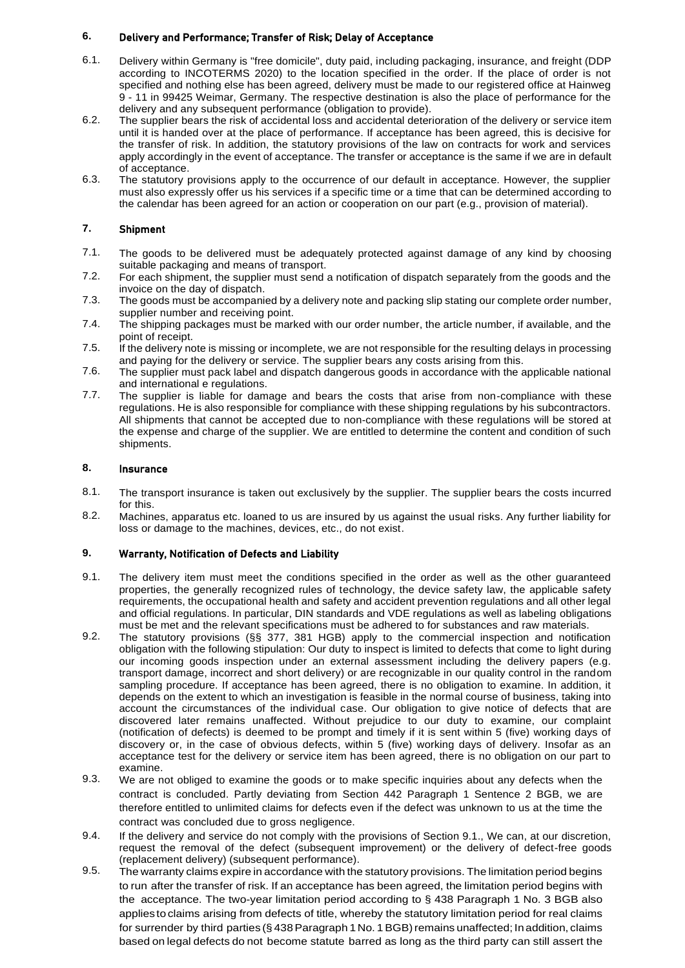## **6.** Delivery and Performance; Transfer of Risk; Delay of Acceptance

- 6.1. Delivery within Germany is "free domicile", duty paid, including packaging, insurance, and freight (DDP according to INCOTERMS 2020) to the location specified in the order. If the place of order is not specified and nothing else has been agreed, delivery must be made to our registered office at Hainweg 9 - 11 in 99425 Weimar, Germany. The respective destination is also the place of performance for the delivery and any subsequent performance (obligation to provide).
- 6.2. The supplier bears the risk of accidental loss and accidental deterioration of the delivery or service item until it is handed over at the place of performance. If acceptance has been agreed, this is decisive for the transfer of risk. In addition, the statutory provisions of the law on contracts for work and services apply accordingly in the event of acceptance. The transfer or acceptance is the same if we are in default of acceptance.
- 6.3. The statutory provisions apply to the occurrence of our default in acceptance. However, the supplier must also expressly offer us his services if a specific time or a time that can be determined according to the calendar has been agreed for an action or cooperation on our part (e.g., provision of material).

# **7.** Shipment

- 7.1. The goods to be delivered must be adequately protected against damage of any kind by choosing suitable packaging and means of transport.
- 7.2. For each shipment, the supplier must send a notification of dispatch separately from the goods and the invoice on the day of dispatch.
- 7.3. The goods must be accompanied by a delivery note and packing slip stating our complete order number, supplier number and receiving point.
- 7.4. The shipping packages must be marked with our order number, the article number, if available, and the point of receipt.
- 7.5. If the delivery note is missing or incomplete, we are not responsible for the resulting delays in processing and paying for the delivery or service. The supplier bears any costs arising from this.
- 7.6. The supplier must pack label and dispatch dangerous goods in accordance with the applicable national and international e regulations.
- 7.7. The supplier is liable for damage and bears the costs that arise from non-compliance with these regulations. He is also responsible for compliance with these shipping regulations by his subcontractors. All shipments that cannot be accepted due to non-compliance with these regulations will be stored at the expense and charge of the supplier. We are entitled to determine the content and condition of such shipments.

### **8.** Insurance

- 8.1. The transport insurance is taken out exclusively by the supplier. The supplier bears the costs incurred for this.
- 8.2. Machines, apparatus etc. loaned to us are insured by us against the usual risks. Any further liability for loss or damage to the machines, devices, etc., do not exist.

## **9.** Warranty, Notification of Defects and Liability

- 9.1. The delivery item must meet the conditions specified in the order as well as the other guaranteed properties, the generally recognized rules of technology, the device safety law, the applicable safety requirements, the occupational health and safety and accident prevention regulations and all other legal and official regulations. In particular, DIN standards and VDE regulations as well as labeling obligations must be met and the relevant specifications must be adhered to for substances and raw materials.
- 9.2. The statutory provisions (§§ 377, 381 HGB) apply to the commercial inspection and notification obligation with the following stipulation: Our duty to inspect is limited to defects that come to light during our incoming goods inspection under an external assessment including the delivery papers (e.g. transport damage, incorrect and short delivery) or are recognizable in our quality control in the random sampling procedure. If acceptance has been agreed, there is no obligation to examine. In addition, it depends on the extent to which an investigation is feasible in the normal course of business, taking into account the circumstances of the individual case. Our obligation to give notice of defects that are discovered later remains unaffected. Without prejudice to our duty to examine, our complaint (notification of defects) is deemed to be prompt and timely if it is sent within 5 (five) working days of discovery or, in the case of obvious defects, within 5 (five) working days of delivery. Insofar as an acceptance test for the delivery or service item has been agreed, there is no obligation on our part to examine.
- 9.3. We are not obliged to examine the goods or to make specific inquiries about any defects when the contract is concluded. Partly deviating from Section 442 Paragraph 1 Sentence 2 BGB, we are therefore entitled to unlimited claims for defects even if the defect was unknown to us at the time the contract was concluded due to gross negligence.
- 9.4. If the delivery and service do not comply with the provisions of Section 9.1., We can, at our discretion, request the removal of the defect (subsequent improvement) or the delivery of defect-free goods (replacement delivery) (subsequent performance).
- 9.5. The warranty claims expire in accordance with the statutory provisions. The limitation period begins to run after the transfer of risk. If an acceptance has been agreed, the limitation period begins with the acceptance. The two-year limitation period according to § 438 Paragraph 1 No. 3 BGB also applies to claims arising from defects of title, whereby the statutory limitation period for real claims for surrender by third parties (§ 438 Paragraph 1 No. 1 BGB) remains unaffected; In addition, claims based on legal defects do not become statute barred as long as the third party can still assert the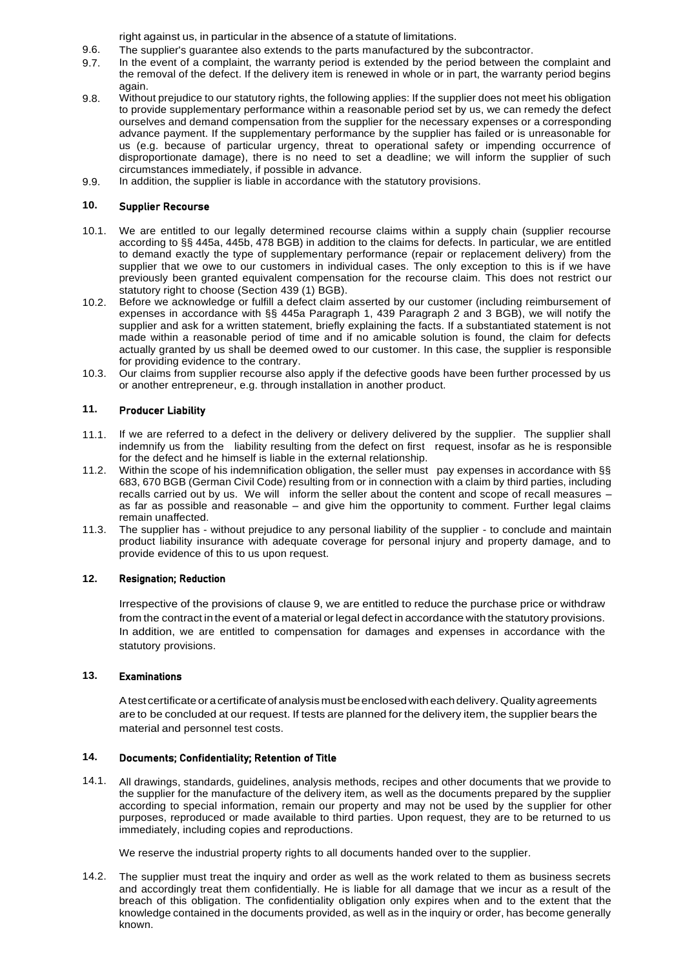right against us, in particular in the absence of a statute of limitations.

- 9.6. The supplier's guarantee also extends to the parts manufactured by the subcontractor.
- 9.7. In the event of a complaint, the warranty period is extended by the period between the complaint and the removal of the defect. If the delivery item is renewed in whole or in part, the warranty period begins again.
- 9.8. Without prejudice to our statutory rights, the following applies: If the supplier does not meet his obligation to provide supplementary performance within a reasonable period set by us, we can remedy the defect ourselves and demand compensation from the supplier for the necessary expenses or a corresponding advance payment. If the supplementary performance by the supplier has failed or is unreasonable for us (e.g. because of particular urgency, threat to operational safety or impending occurrence of disproportionate damage), there is no need to set a deadline; we will inform the supplier of such circumstances immediately, if possible in advance.
- 9.9. In addition, the supplier is liable in accordance with the statutory provisions.

#### **10.** Supplier Recourse

- 10.1. We are entitled to our legally determined recourse claims within a supply chain (supplier recourse according to §§ 445a, 445b, 478 BGB) in addition to the claims for defects. In particular, we are entitled to demand exactly the type of supplementary performance (repair or replacement delivery) from the supplier that we owe to our customers in individual cases. The only exception to this is if we have previously been granted equivalent compensation for the recourse claim. This does not restrict our statutory right to choose (Section 439 (1) BGB).
- 10.2. Before we acknowledge or fulfill a defect claim asserted by our customer (including reimbursement of expenses in accordance with §§ 445a Paragraph 1, 439 Paragraph 2 and 3 BGB), we will notify the supplier and ask for a written statement, briefly explaining the facts. If a substantiated statement is not made within a reasonable period of time and if no amicable solution is found, the claim for defects actually granted by us shall be deemed owed to our customer. In this case, the supplier is responsible for providing evidence to the contrary.
- 10.3. Our claims from supplier recourse also apply if the defective goods have been further processed by us or another entrepreneur, e.g. through installation in another product.

#### **11.** Producer Liability

- 11.1. If we are referred to a defect in the delivery or delivery delivered by the supplier. The supplier shall indemnify us from the liability resulting from the defect on first request, insofar as he is responsible for the defect and he himself is liable in the external relationship.
- 11.2. Within the scope of his indemnification obligation, the seller must pay expenses in accordance with §§ 683, 670 BGB (German Civil Code) resulting from or in connection with a claim by third parties, including recalls carried out by us. We will inform the seller about the content and scope of recall measures – as far as possible and reasonable – and give him the opportunity to comment. Further legal claims remain unaffected.
- 11.3. The supplier has - without prejudice to any personal liability of the supplier - to conclude and maintain product liability insurance with adequate coverage for personal injury and property damage, and to provide evidence of this to us upon request.

# **12.** Resignation; Reduction

Irrespective of the provisions of clause 9, we are entitled to reduce the purchase price or withdraw from the contract in the event of a material or legal defect in accordance with the statutory provisions. In addition, we are entitled to compensation for damages and expenses in accordance with the statutory provisions.

# **13.** Examinations

Atest certificateoracertificateof analysismust beenclosedwith eachdelivery.Quality agreements are to be concluded at our request. If tests are planned for the delivery item, the supplier bears the material and personnel test costs.

#### **14.** Documents; Confidentiality; Retention of Title

14.1. All drawings, standards, guidelines, analysis methods, recipes and other documents that we provide to the supplier for the manufacture of the delivery item, as well as the documents prepared by the supplier according to special information, remain our property and may not be used by the supplier for other purposes, reproduced or made available to third parties. Upon request, they are to be returned to us immediately, including copies and reproductions.

We reserve the industrial property rights to all documents handed over to the supplier.

14.2. The supplier must treat the inquiry and order as well as the work related to them as business secrets and accordingly treat them confidentially. He is liable for all damage that we incur as a result of the breach of this obligation. The confidentiality obligation only expires when and to the extent that the knowledge contained in the documents provided, as well as in the inquiry or order, has become generally known.